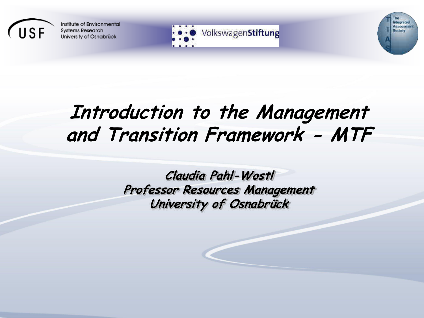



Integrated

Society

Annosuman

# **Introduction to the Management and Transition Framework - MTF**

**Claudia Pahl-Wostl Professor Resources Management University of Osnabrück**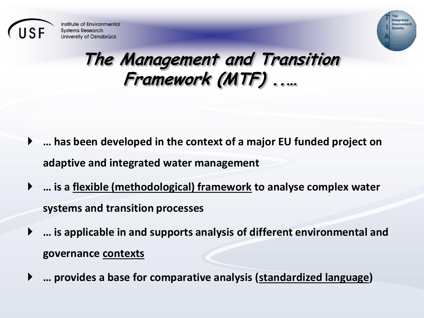



# The Management and Transition<br>Framework (MTF).....

- ▶ ... has been developed in the context of a major EU funded project on adaptive and integrated water management
- ... is a flexible (methodological) framework to analyse complex water systems and transition processes
- ... is applicable in and supports analysis of different environmental and governance contexts
- ... provides a base for comparative analysis (standardized language)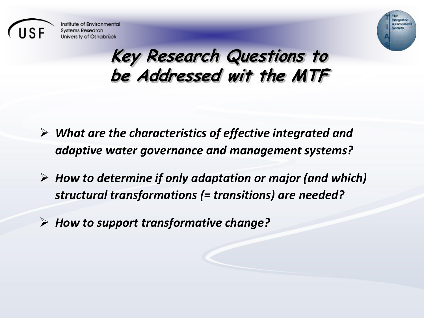



#### **Key Research Questions to be Addressed wit the MTF**

- *What are the characteristics of effective integrated and adaptive water governance and management systems?*
- *How to determine if only adaptation or major (and which) structural transformations (= transitions) are needed?*
- *How to support transformative change?*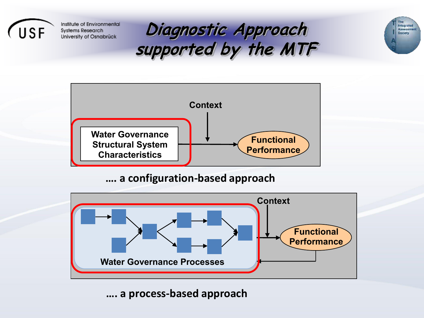







#### **…. a configuration-based approach**



**…. a process-based approach**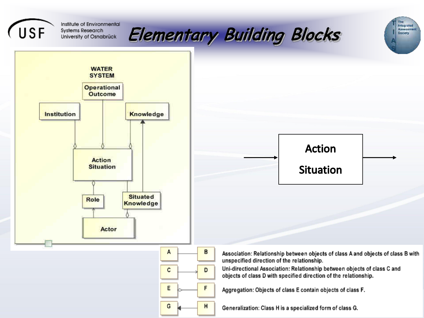





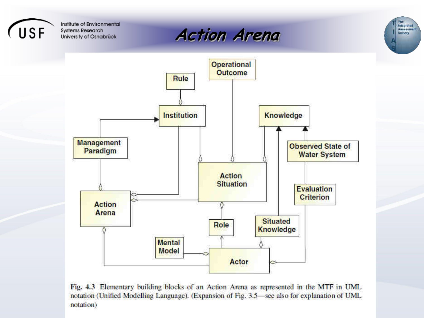







Fig. 4.3 Elementary building blocks of an Action Arena as represented in the MTF in UML notation (Unified Modelling Language). (Expansion of Fig. 3.5 see also for explanation of UML notation)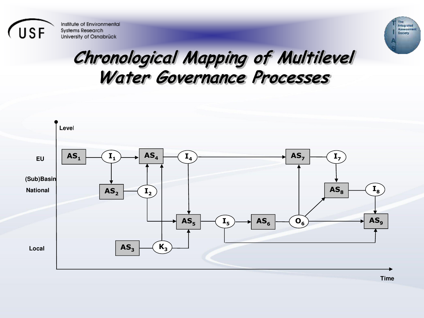



### **Chronological Mapping of Multilevel Water Governance Processes**



**Time**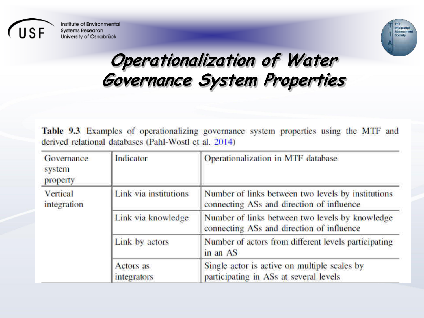



# **Operationalization of Water Governance System Properties**

Table 9.3 Examples of operationalizing governance system properties using the MTF and derived relational databases (Pahl-Wostl et al. 2014)

| Governance<br>system<br>property | Indicator                       | Operationalization in MTF database                                                              |
|----------------------------------|---------------------------------|-------------------------------------------------------------------------------------------------|
| Vertical<br>integration          | Link via institutions           | Number of links between two levels by institutions<br>connecting ASs and direction of influence |
|                                  | Link via knowledge              | Number of links between two levels by knowledge<br>connecting ASs and direction of influence    |
|                                  | Link by actors                  | Number of actors from different levels participating<br>in an AS                                |
|                                  | Actors as<br><i>integrators</i> | Single actor is active on multiple scales by<br>participating in ASs at several levels          |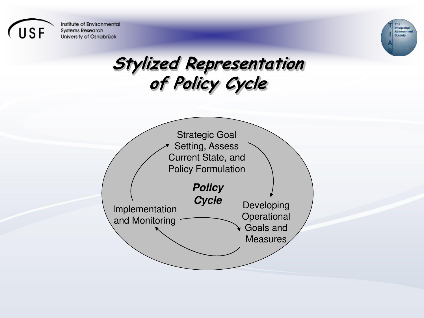



# **Stylized Representation of Policy Cycle**

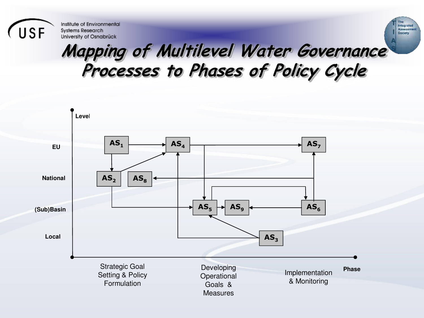

# **Mapping of Multilevel Water Governance Processes to Phases of Policy Cycle**

tmagratud<br>Aannaamun

**Gociety** 

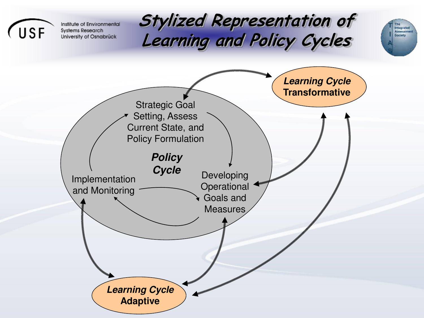

tmagrated<br>Assessment

Gociety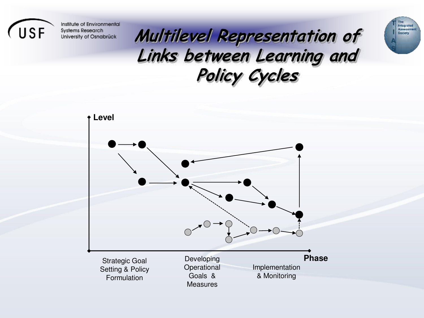

# **Multilevel Representation of Links between Learning and Policy Cycles**

thegrated<br>Assessment<br>Cociety